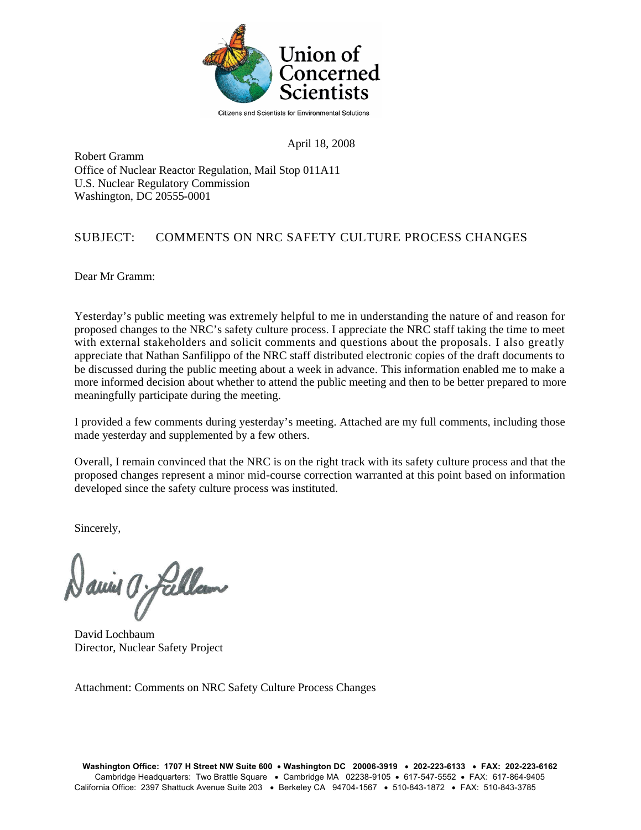

April 18, 2008

Robert Gramm Office of Nuclear Reactor Regulation, Mail Stop 011A11 U.S. Nuclear Regulatory Commission Washington, DC 20555-0001

## SUBJECT: COMMENTS ON NRC SAFETY CULTURE PROCESS CHANGES

Dear Mr Gramm:

Yesterday's public meeting was extremely helpful to me in understanding the nature of and reason for proposed changes to the NRC's safety culture process. I appreciate the NRC staff taking the time to meet with external stakeholders and solicit comments and questions about the proposals. I also greatly appreciate that Nathan Sanfilippo of the NRC staff distributed electronic copies of the draft documents to be discussed during the public meeting about a week in advance. This information enabled me to make a more informed decision about whether to attend the public meeting and then to be better prepared to more meaningfully participate during the meeting.

I provided a few comments during yesterday's meeting. Attached are my full comments, including those made yesterday and supplemented by a few others.

Overall, I remain convinced that the NRC is on the right track with its safety culture process and that the proposed changes represent a minor mid-course correction warranted at this point based on information developed since the safety culture process was instituted.

Sincerely,

aniel O fallan

David Lochbaum Director, Nuclear Safety Project

Attachment: Comments on NRC Safety Culture Process Changes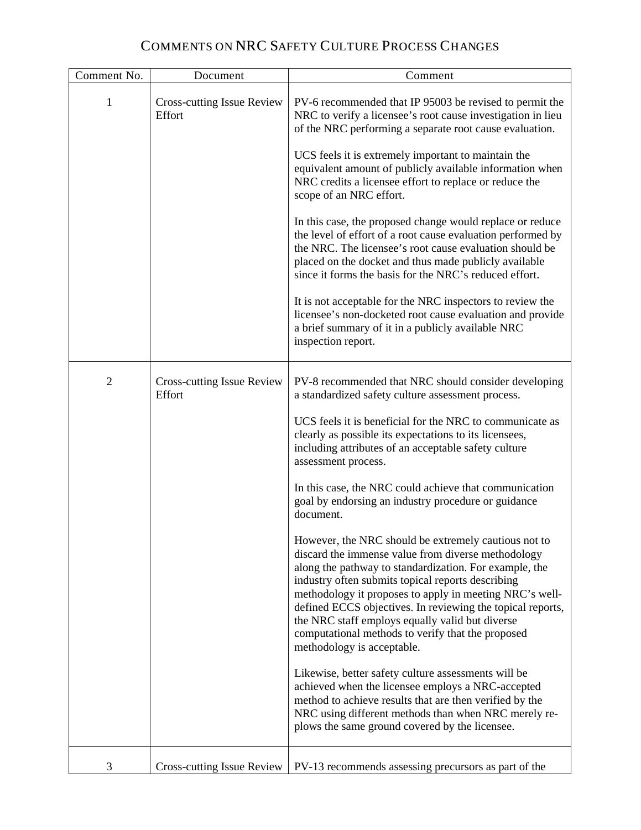## COMMENTS ON NRC SAFETY CULTURE PROCESS CHANGES

| Comment No.    | Document                                    | Comment                                                                                                                                                                                                                                                                                                                                                                                                                                                                                                                                                                                                                                                                                                                                                                                                                                                                                                                                                                                                                                                                                                                                                                                                                   |
|----------------|---------------------------------------------|---------------------------------------------------------------------------------------------------------------------------------------------------------------------------------------------------------------------------------------------------------------------------------------------------------------------------------------------------------------------------------------------------------------------------------------------------------------------------------------------------------------------------------------------------------------------------------------------------------------------------------------------------------------------------------------------------------------------------------------------------------------------------------------------------------------------------------------------------------------------------------------------------------------------------------------------------------------------------------------------------------------------------------------------------------------------------------------------------------------------------------------------------------------------------------------------------------------------------|
| 1              | <b>Cross-cutting Issue Review</b><br>Effort | PV-6 recommended that IP 95003 be revised to permit the<br>NRC to verify a licensee's root cause investigation in lieu<br>of the NRC performing a separate root cause evaluation.<br>UCS feels it is extremely important to maintain the<br>equivalent amount of publicly available information when<br>NRC credits a licensee effort to replace or reduce the<br>scope of an NRC effort.<br>In this case, the proposed change would replace or reduce<br>the level of effort of a root cause evaluation performed by<br>the NRC. The licensee's root cause evaluation should be<br>placed on the docket and thus made publicly available<br>since it forms the basis for the NRC's reduced effort.<br>It is not acceptable for the NRC inspectors to review the<br>licensee's non-docketed root cause evaluation and provide<br>a brief summary of it in a publicly available NRC<br>inspection report.                                                                                                                                                                                                                                                                                                                  |
| $\overline{2}$ | <b>Cross-cutting Issue Review</b><br>Effort | PV-8 recommended that NRC should consider developing<br>a standardized safety culture assessment process.<br>UCS feels it is beneficial for the NRC to communicate as<br>clearly as possible its expectations to its licensees,<br>including attributes of an acceptable safety culture<br>assessment process.<br>In this case, the NRC could achieve that communication<br>goal by endorsing an industry procedure or guidance<br>document.<br>However, the NRC should be extremely cautious not to<br>discard the immense value from diverse methodology<br>along the pathway to standardization. For example, the<br>industry often submits topical reports describing<br>methodology it proposes to apply in meeting NRC's well-<br>defined ECCS objectives. In reviewing the topical reports,<br>the NRC staff employs equally valid but diverse<br>computational methods to verify that the proposed<br>methodology is acceptable.<br>Likewise, better safety culture assessments will be<br>achieved when the licensee employs a NRC-accepted<br>method to achieve results that are then verified by the<br>NRC using different methods than when NRC merely re-<br>plows the same ground covered by the licensee. |
| 3              | <b>Cross-cutting Issue Review</b>           | PV-13 recommends assessing precursors as part of the                                                                                                                                                                                                                                                                                                                                                                                                                                                                                                                                                                                                                                                                                                                                                                                                                                                                                                                                                                                                                                                                                                                                                                      |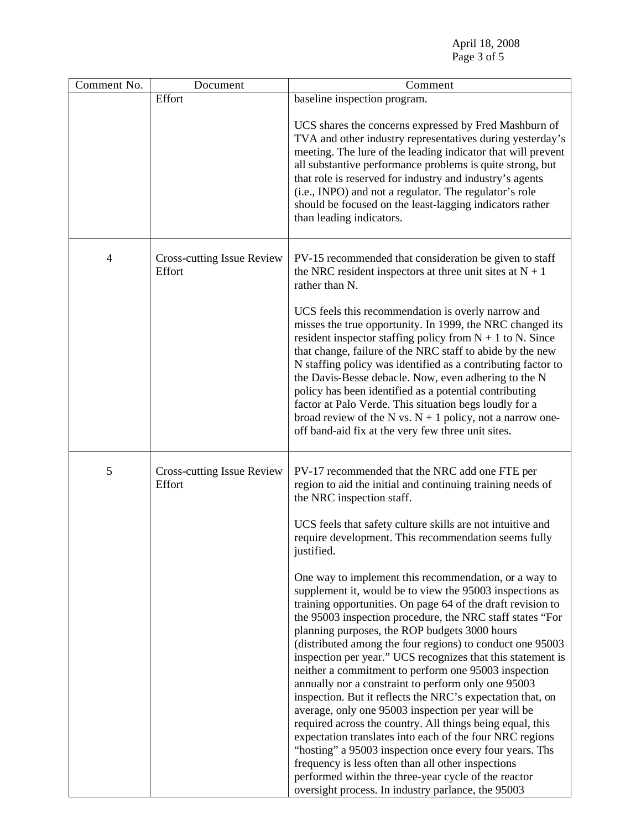April 18, 2008 Page 3 of 5

| Comment No.    | Document                                    | Comment                                                                                                                                                                                                                                                                                                                                                                                                                                                                                                                                                                                                 |
|----------------|---------------------------------------------|---------------------------------------------------------------------------------------------------------------------------------------------------------------------------------------------------------------------------------------------------------------------------------------------------------------------------------------------------------------------------------------------------------------------------------------------------------------------------------------------------------------------------------------------------------------------------------------------------------|
|                | Effort                                      | baseline inspection program.                                                                                                                                                                                                                                                                                                                                                                                                                                                                                                                                                                            |
|                |                                             | UCS shares the concerns expressed by Fred Mashburn of<br>TVA and other industry representatives during yesterday's<br>meeting. The lure of the leading indicator that will prevent<br>all substantive performance problems is quite strong, but<br>that role is reserved for industry and industry's agents<br>(i.e., INPO) and not a regulator. The regulator's role<br>should be focused on the least-lagging indicators rather<br>than leading indicators.                                                                                                                                           |
| $\overline{4}$ | <b>Cross-cutting Issue Review</b><br>Effort | PV-15 recommended that consideration be given to staff<br>the NRC resident inspectors at three unit sites at $N + 1$<br>rather than N.<br>UCS feels this recommendation is overly narrow and<br>misses the true opportunity. In 1999, the NRC changed its<br>resident inspector staffing policy from $N + 1$ to N. Since<br>that change, failure of the NRC staff to abide by the new<br>N staffing policy was identified as a contributing factor to                                                                                                                                                   |
|                |                                             | the Davis-Besse debacle. Now, even adhering to the N<br>policy has been identified as a potential contributing<br>factor at Palo Verde. This situation begs loudly for a<br>broad review of the N vs. $N + 1$ policy, not a narrow one-<br>off band-aid fix at the very few three unit sites.                                                                                                                                                                                                                                                                                                           |
| 5              | <b>Cross-cutting Issue Review</b><br>Effort | PV-17 recommended that the NRC add one FTE per<br>region to aid the initial and continuing training needs of<br>the NRC inspection staff.                                                                                                                                                                                                                                                                                                                                                                                                                                                               |
|                |                                             | UCS feels that safety culture skills are not intuitive and<br>require development. This recommendation seems fully<br>justified.                                                                                                                                                                                                                                                                                                                                                                                                                                                                        |
|                |                                             | One way to implement this recommendation, or a way to<br>supplement it, would be to view the 95003 inspections as<br>training opportunities. On page 64 of the draft revision to<br>the 95003 inspection procedure, the NRC staff states "For<br>planning purposes, the ROP budgets 3000 hours<br>(distributed among the four regions) to conduct one 95003<br>inspection per year." UCS recognizes that this statement is<br>neither a commitment to perform one 95003 inspection<br>annually nor a constraint to perform only one 95003<br>inspection. But it reflects the NRC's expectation that, on |
|                |                                             | average, only one 95003 inspection per year will be<br>required across the country. All things being equal, this<br>expectation translates into each of the four NRC regions<br>"hosting" a 95003 inspection once every four years. Ths<br>frequency is less often than all other inspections<br>performed within the three-year cycle of the reactor<br>oversight process. In industry parlance, the 95003                                                                                                                                                                                             |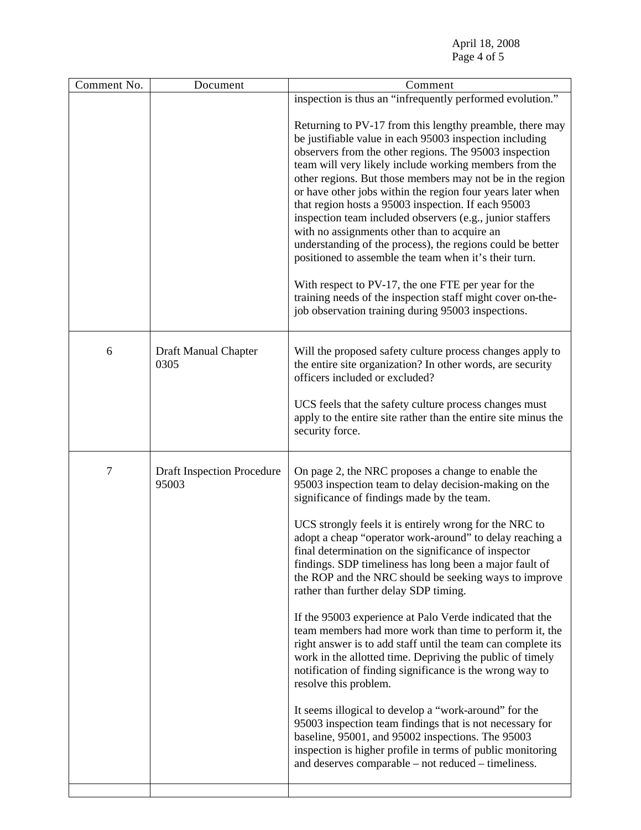April 18, 2008 Page 4 of 5

| Comment No. | Document                                   | Comment                                                                                                                                                                                                                                                                                                                                                                                                                                                                                                                                                                                                                                                                                                                                                                                                                                                                                                                                                                                                                                                                                                                                      |
|-------------|--------------------------------------------|----------------------------------------------------------------------------------------------------------------------------------------------------------------------------------------------------------------------------------------------------------------------------------------------------------------------------------------------------------------------------------------------------------------------------------------------------------------------------------------------------------------------------------------------------------------------------------------------------------------------------------------------------------------------------------------------------------------------------------------------------------------------------------------------------------------------------------------------------------------------------------------------------------------------------------------------------------------------------------------------------------------------------------------------------------------------------------------------------------------------------------------------|
|             |                                            | inspection is thus an "infrequently performed evolution."                                                                                                                                                                                                                                                                                                                                                                                                                                                                                                                                                                                                                                                                                                                                                                                                                                                                                                                                                                                                                                                                                    |
|             |                                            | Returning to PV-17 from this lengthy preamble, there may<br>be justifiable value in each 95003 inspection including<br>observers from the other regions. The 95003 inspection<br>team will very likely include working members from the<br>other regions. But those members may not be in the region<br>or have other jobs within the region four years later when<br>that region hosts a 95003 inspection. If each 95003<br>inspection team included observers (e.g., junior staffers<br>with no assignments other than to acquire an<br>understanding of the process), the regions could be better<br>positioned to assemble the team when it's their turn.<br>With respect to PV-17, the one FTE per year for the<br>training needs of the inspection staff might cover on-the-<br>job observation training during 95003 inspections.                                                                                                                                                                                                                                                                                                     |
| 6           | Draft Manual Chapter<br>0305               | Will the proposed safety culture process changes apply to<br>the entire site organization? In other words, are security<br>officers included or excluded?<br>UCS feels that the safety culture process changes must<br>apply to the entire site rather than the entire site minus the<br>security force.                                                                                                                                                                                                                                                                                                                                                                                                                                                                                                                                                                                                                                                                                                                                                                                                                                     |
|             |                                            |                                                                                                                                                                                                                                                                                                                                                                                                                                                                                                                                                                                                                                                                                                                                                                                                                                                                                                                                                                                                                                                                                                                                              |
| 7           | <b>Draft Inspection Procedure</b><br>95003 | On page 2, the NRC proposes a change to enable the<br>95003 inspection team to delay decision-making on the<br>significance of findings made by the team.<br>UCS strongly feels it is entirely wrong for the NRC to<br>adopt a cheap "operator work-around" to delay reaching a<br>final determination on the significance of inspector<br>findings. SDP timeliness has long been a major fault of<br>the ROP and the NRC should be seeking ways to improve<br>rather than further delay SDP timing.<br>If the 95003 experience at Palo Verde indicated that the<br>team members had more work than time to perform it, the<br>right answer is to add staff until the team can complete its<br>work in the allotted time. Depriving the public of timely<br>notification of finding significance is the wrong way to<br>resolve this problem.<br>It seems illogical to develop a "work-around" for the<br>95003 inspection team findings that is not necessary for<br>baseline, 95001, and 95002 inspections. The 95003<br>inspection is higher profile in terms of public monitoring<br>and deserves comparable – not reduced – timeliness. |